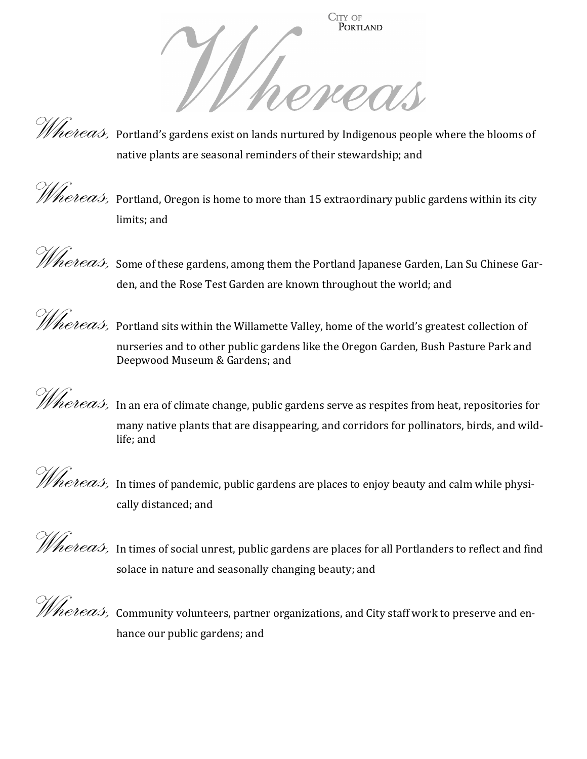

*Whereas*, Portland's gardens exist on lands nurtured by Indigenous people where the blooms of native plants are seasonal reminders of their stewardship; and



*Whereas,* Portland, Oregon is home to more than 15 extraordinary public gardens within its city limits; and



*Whereas,* Some of these gardens, among them the Portland Japanese Garden, Lan Su Chinese Garden, and the Rose Test Garden are known throughout the world; and

*Whereas,* Portland sits within the Willamette Valley, home of the world's greatest collection of nurseries and to other public gardens like the Oregon Garden, Bush Pasture Park and Deepwood Museum & Gardens; and

*Whereas*, In an era of climate change, public gardens serve as respites from heat, repositories for many native plants that are disappearing, and corridors for pollinators, birds, and wildlife; and

Whereas, In times of pandemic, public gardens are places to enjoy beauty and calm while physically distanced; and

Whereas, In times of social unrest, public gardens are places for all Portlanders to reflect and find solace in nature and seasonally changing beauty; and

Whereas, Community volunteers, partner organizations, and City staff work to preserve and enhance our public gardens; and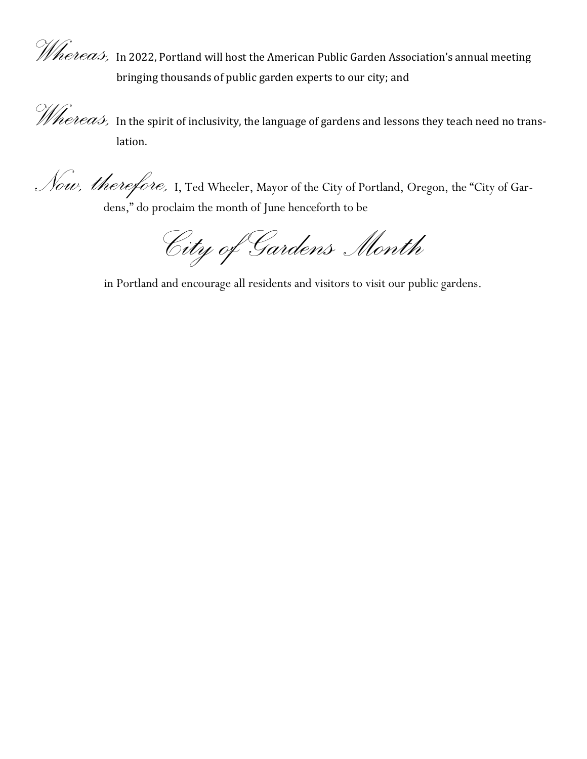Whereas, In 2022, Portland will host the American Public Garden Association's annual meeting bringing thousands of public garden experts to our city; and

Whereas, In the spirit of inclusivity, the language of gardens and lessons they teach need no translation.

Now, therefore, I, Ted Wheeler, Mayor of the City of Portland, Oregon, the "City of Gardens," do proclaim the month of June henceforth to be

City of Gardens Month

in Portland and encourage all residents and visitors to visit our public gardens.